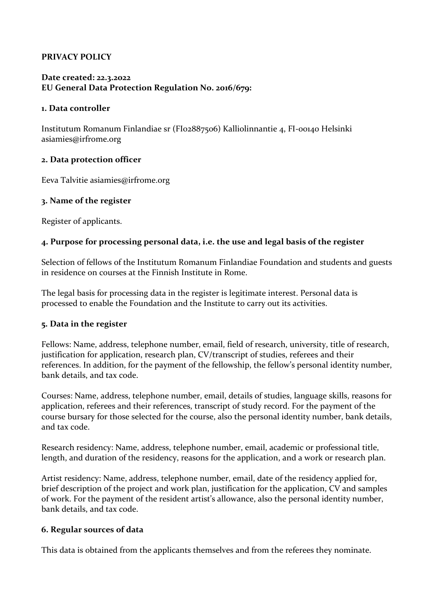# **PRIVACY POLICY**

# **Date created: 22.3.2022 EU General Data Protection Regulation No. 2016/679:**

### **1. Data controller**

Institutum Romanum Finlandiae sr (FI02887506) Kalliolinnantie 4, FI-00140 Helsinki asiamies@irfrome.org

### **2. Data protection officer**

Eeva Talvitie asiamies@irfrome.org

### **3. Name of the register**

Register of applicants.

# **4. Purpose for processing personal data, i.e. the use and legal basis of the register**

Selection of fellows of the Institutum Romanum Finlandiae Foundation and students and guests in residence on courses at the Finnish Institute in Rome.

The legal basis for processing data in the register is legitimate interest. Personal data is processed to enable the Foundation and the Institute to carry out its activities.

#### **5. Data in the register**

Fellows: Name, address, telephone number, email, field of research, university, title of research, justification for application, research plan, CV/transcript of studies, referees and their references. In addition, for the payment of the fellowship, the fellow's personal identity number, bank details, and tax code.

Courses: Name, address, telephone number, email, details of studies, language skills, reasons for application, referees and their references, transcript of study record. For the payment of the course bursary for those selected for the course, also the personal identity number, bank details, and tax code.

Research residency: Name, address, telephone number, email, academic or professional title, length, and duration of the residency, reasons for the application, and a work or research plan.

Artist residency: Name, address, telephone number, email, date of the residency applied for, brief description of the project and work plan, justification for the application, CV and samples of work. For the payment of the resident artist's allowance, also the personal identity number, bank details, and tax code.

#### **6. Regular sources of data**

This data is obtained from the applicants themselves and from the referees they nominate.